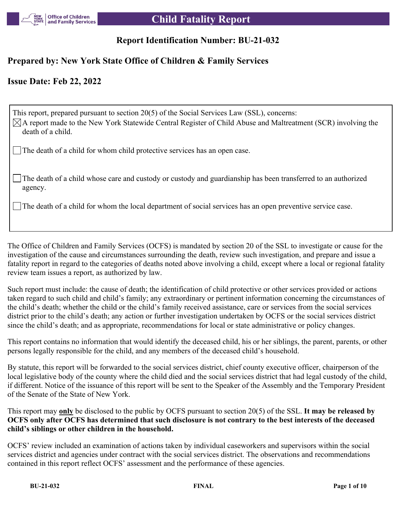

# **Report Identification Number: BU-21-032**

## **Prepared by: New York State Office of Children & Family Services**

## **Issue Date: Feb 22, 2022**

This report, prepared pursuant to section 20(5) of the Social Services Law (SSL), concerns:  $\boxtimes$ A report made to the New York Statewide Central Register of Child Abuse and Maltreatment (SCR) involving the death of a child.

The death of a child for whom child protective services has an open case.

The death of a child whose care and custody or custody and guardianship has been transferred to an authorized agency.

The death of a child for whom the local department of social services has an open preventive service case.

The Office of Children and Family Services (OCFS) is mandated by section 20 of the SSL to investigate or cause for the investigation of the cause and circumstances surrounding the death, review such investigation, and prepare and issue a fatality report in regard to the categories of deaths noted above involving a child, except where a local or regional fatality review team issues a report, as authorized by law.

Such report must include: the cause of death; the identification of child protective or other services provided or actions taken regard to such child and child's family; any extraordinary or pertinent information concerning the circumstances of the child's death; whether the child or the child's family received assistance, care or services from the social services district prior to the child's death; any action or further investigation undertaken by OCFS or the social services district since the child's death; and as appropriate, recommendations for local or state administrative or policy changes.

This report contains no information that would identify the deceased child, his or her siblings, the parent, parents, or other persons legally responsible for the child, and any members of the deceased child's household.

By statute, this report will be forwarded to the social services district, chief county executive officer, chairperson of the local legislative body of the county where the child died and the social services district that had legal custody of the child, if different. Notice of the issuance of this report will be sent to the Speaker of the Assembly and the Temporary President of the Senate of the State of New York.

This report may **only** be disclosed to the public by OCFS pursuant to section 20(5) of the SSL. **It may be released by OCFS only after OCFS has determined that such disclosure is not contrary to the best interests of the deceased child's siblings or other children in the household.**

OCFS' review included an examination of actions taken by individual caseworkers and supervisors within the social services district and agencies under contract with the social services district. The observations and recommendations contained in this report reflect OCFS' assessment and the performance of these agencies.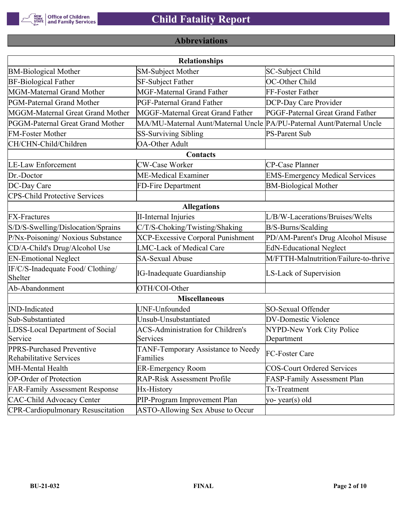

# **Abbreviations**

| <b>Relationships</b>                                 |                                                                       |                                       |  |  |  |  |  |  |
|------------------------------------------------------|-----------------------------------------------------------------------|---------------------------------------|--|--|--|--|--|--|
| <b>BM-Biological Mother</b>                          | <b>SM-Subject Mother</b>                                              | SC-Subject Child                      |  |  |  |  |  |  |
| <b>BF-Biological Father</b>                          | <b>SF-Subject Father</b>                                              | OC-Other Child                        |  |  |  |  |  |  |
| MGM-Maternal Grand Mother                            | <b>MGF-Maternal Grand Father</b>                                      | FF-Foster Father                      |  |  |  |  |  |  |
| PGM-Paternal Grand Mother                            | PGF-Paternal Grand Father                                             | DCP-Day Care Provider                 |  |  |  |  |  |  |
| MGGM-Maternal Great Grand Mother                     | MGGF-Maternal Great Grand Father                                      | PGGF-Paternal Great Grand Father      |  |  |  |  |  |  |
| PGGM-Paternal Great Grand Mother                     | MA/MU-Maternal Aunt/Maternal Uncle PA/PU-Paternal Aunt/Paternal Uncle |                                       |  |  |  |  |  |  |
| <b>FM-Foster Mother</b>                              | <b>SS-Surviving Sibling</b>                                           | <b>PS-Parent Sub</b>                  |  |  |  |  |  |  |
| CH/CHN-Child/Children                                | <b>OA-Other Adult</b>                                                 |                                       |  |  |  |  |  |  |
|                                                      |                                                                       |                                       |  |  |  |  |  |  |
| <b>LE-Law Enforcement</b>                            | <b>CW-Case Worker</b>                                                 | CP-Case Planner                       |  |  |  |  |  |  |
| Dr.-Doctor                                           | ME-Medical Examiner                                                   | <b>EMS-Emergency Medical Services</b> |  |  |  |  |  |  |
| DC-Day Care                                          | FD-Fire Department                                                    | <b>BM-Biological Mother</b>           |  |  |  |  |  |  |
| <b>CPS-Child Protective Services</b>                 |                                                                       |                                       |  |  |  |  |  |  |
| <b>Allegations</b>                                   |                                                                       |                                       |  |  |  |  |  |  |
| <b>FX-Fractures</b>                                  | <b>II-Internal Injuries</b>                                           | L/B/W-Lacerations/Bruises/Welts       |  |  |  |  |  |  |
| S/D/S-Swelling/Dislocation/Sprains                   | C/T/S-Choking/Twisting/Shaking                                        | B/S-Burns/Scalding                    |  |  |  |  |  |  |
| P/Nx-Poisoning/ Noxious Substance                    | <b>XCP-Excessive Corporal Punishment</b>                              | PD/AM-Parent's Drug Alcohol Misuse    |  |  |  |  |  |  |
| CD/A-Child's Drug/Alcohol Use                        | <b>LMC-Lack of Medical Care</b>                                       | <b>EdN-Educational Neglect</b>        |  |  |  |  |  |  |
| <b>EN-Emotional Neglect</b>                          | <b>SA-Sexual Abuse</b>                                                | M/FTTH-Malnutrition/Failure-to-thrive |  |  |  |  |  |  |
| IF/C/S-Inadequate Food/ Clothing/<br>Shelter         | <b>IG-Inadequate Guardianship</b>                                     | LS-Lack of Supervision                |  |  |  |  |  |  |
| Ab-Abandonment                                       | OTH/COI-Other                                                         |                                       |  |  |  |  |  |  |
|                                                      | <b>Miscellaneous</b>                                                  |                                       |  |  |  |  |  |  |
| <b>IND-Indicated</b>                                 | UNF-Unfounded                                                         | SO-Sexual Offender                    |  |  |  |  |  |  |
| Sub-Substantiated                                    | Unsub-Unsubstantiated                                                 | <b>DV-Domestic Violence</b>           |  |  |  |  |  |  |
| LDSS-Local Department of Social                      | <b>ACS-Administration for Children's</b>                              | NYPD-New York City Police             |  |  |  |  |  |  |
| Service                                              | Services                                                              | Department                            |  |  |  |  |  |  |
| PPRS-Purchased Preventive<br>Rehabilitative Services | TANF-Temporary Assistance to Needy<br>Families                        | FC-Foster Care                        |  |  |  |  |  |  |
| MH-Mental Health                                     | <b>ER-Emergency Room</b>                                              | <b>COS-Court Ordered Services</b>     |  |  |  |  |  |  |
| <b>OP-Order of Protection</b>                        | <b>RAP-Risk Assessment Profile</b>                                    | FASP-Family Assessment Plan           |  |  |  |  |  |  |
| <b>FAR-Family Assessment Response</b>                | Hx-History                                                            | Tx-Treatment                          |  |  |  |  |  |  |
| <b>CAC-Child Advocacy Center</b>                     | PIP-Program Improvement Plan                                          | yo-year(s) old                        |  |  |  |  |  |  |
| <b>CPR-Cardiopulmonary Resuscitation</b>             | ASTO-Allowing Sex Abuse to Occur                                      |                                       |  |  |  |  |  |  |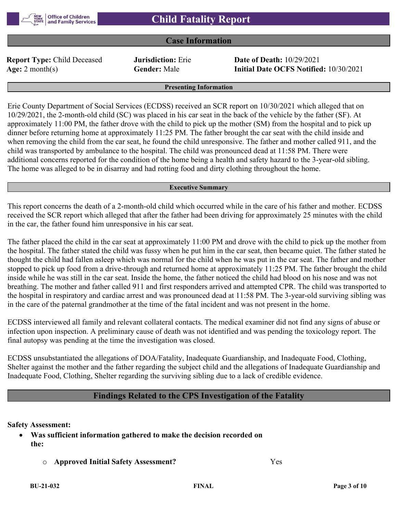

## **Case Information**

**Report Type:** Child Deceased **Jurisdiction:** Erie **Date of Death:** 10/29/2021

**Age:** 2 month(s) **Gender:** Male **Initial Date OCFS Notified:** 10/30/2021

#### **Presenting Information**

Erie County Department of Social Services (ECDSS) received an SCR report on 10/30/2021 which alleged that on 10/29/2021, the 2-month-old child (SC) was placed in his car seat in the back of the vehicle by the father (SF). At approximately 11:00 PM, the father drove with the child to pick up the mother (SM) from the hospital and to pick up dinner before returning home at approximately 11:25 PM. The father brought the car seat with the child inside and when removing the child from the car seat, he found the child unresponsive. The father and mother called 911, and the child was transported by ambulance to the hospital. The child was pronounced dead at 11:58 PM. There were additional concerns reported for the condition of the home being a health and safety hazard to the 3-year-old sibling. The home was alleged to be in disarray and had rotting food and dirty clothing throughout the home.

#### **Executive Summary**

This report concerns the death of a 2-month-old child which occurred while in the care of his father and mother. ECDSS received the SCR report which alleged that after the father had been driving for approximately 25 minutes with the child in the car, the father found him unresponsive in his car seat.

The father placed the child in the car seat at approximately 11:00 PM and drove with the child to pick up the mother from the hospital. The father stated the child was fussy when he put him in the car seat, then became quiet. The father stated he thought the child had fallen asleep which was normal for the child when he was put in the car seat. The father and mother stopped to pick up food from a drive-through and returned home at approximately 11:25 PM. The father brought the child inside while he was still in the car seat. Inside the home, the father noticed the child had blood on his nose and was not breathing. The mother and father called 911 and first responders arrived and attempted CPR. The child was transported to the hospital in respiratory and cardiac arrest and was pronounced dead at 11:58 PM. The 3-year-old surviving sibling was in the care of the paternal grandmother at the time of the fatal incident and was not present in the home.

ECDSS interviewed all family and relevant collateral contacts. The medical examiner did not find any signs of abuse or infection upon inspection. A preliminary cause of death was not identified and was pending the toxicology report. The final autopsy was pending at the time the investigation was closed.

ECDSS unsubstantiated the allegations of DOA/Fatality, Inadequate Guardianship, and Inadequate Food, Clothing, Shelter against the mother and the father regarding the subject child and the allegations of Inadequate Guardianship and Inadequate Food, Clothing, Shelter regarding the surviving sibling due to a lack of credible evidence.

## **Findings Related to the CPS Investigation of the Fatality**

## **Safety Assessment:**

- **Was sufficient information gathered to make the decision recorded on the:**
	- o **Approved Initial Safety Assessment?** Yes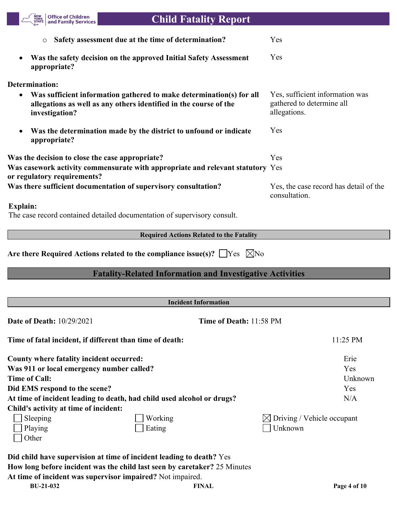| <b>Office of Children</b><br><b>Child Fatality Report</b><br>and Family Services                                                                                                                                                                                  |                                                                              |
|-------------------------------------------------------------------------------------------------------------------------------------------------------------------------------------------------------------------------------------------------------------------|------------------------------------------------------------------------------|
| Safety assessment due at the time of determination?<br>O                                                                                                                                                                                                          | Yes                                                                          |
| Was the safety decision on the approved Initial Safety Assessment<br>appropriate?                                                                                                                                                                                 | Yes                                                                          |
| Determination:                                                                                                                                                                                                                                                    |                                                                              |
| Was sufficient information gathered to make determination(s) for all<br>allegations as well as any others identified in the course of the<br>investigation?                                                                                                       | Yes, sufficient information was<br>gathered to determine all<br>allegations. |
| Was the determination made by the district to unfound or indicate<br>appropriate?                                                                                                                                                                                 | Yes                                                                          |
| Was the decision to close the case appropriate?                                                                                                                                                                                                                   | Yes                                                                          |
| Was casework activity commensurate with appropriate and relevant statutory Yes<br>or regulatory requirements?                                                                                                                                                     |                                                                              |
| Was there sufficient documentation of supervisory consultation?                                                                                                                                                                                                   | Yes, the case record has detail of the<br>consultation.                      |
| Explain:<br>The case record contained detailed documentation of supervisory consult.                                                                                                                                                                              |                                                                              |
| <b>Required Actions Related to the Fatality</b>                                                                                                                                                                                                                   |                                                                              |
| Are there Required Actions related to the compliance issue(s)? $\Box$ Yes $\Box$ No                                                                                                                                                                               |                                                                              |
| <b>Fatality-Related Information and Investigative Activities</b>                                                                                                                                                                                                  |                                                                              |
| <b>Incident Information</b>                                                                                                                                                                                                                                       |                                                                              |
| <b>Date of Death: 10/29/2021</b><br>Time of Death: 11:58 PM                                                                                                                                                                                                       |                                                                              |
| Time of fatal incident, if different than time of death:                                                                                                                                                                                                          | 11:25 PM                                                                     |
| County where fatality incident occurred:<br>Was 911 or local emergency number called?<br><b>Time of Call:</b><br>Did EMS respond to the scene?<br>At time of incident leading to death, had child used alcohol or drugs?<br>Child's activity at time of incident: | Erie<br>Yes<br>Unknown<br>Yes<br>N/A                                         |
| Sleeping<br>Working<br>Playing<br>Eating<br>Other                                                                                                                                                                                                                 | Driving / Vehicle occupant<br>Unknown                                        |
| Did child have supervision at time of incident leading to death? Yes<br>How long before incident was the child last seen by caretaker? 25 Minutes                                                                                                                 |                                                                              |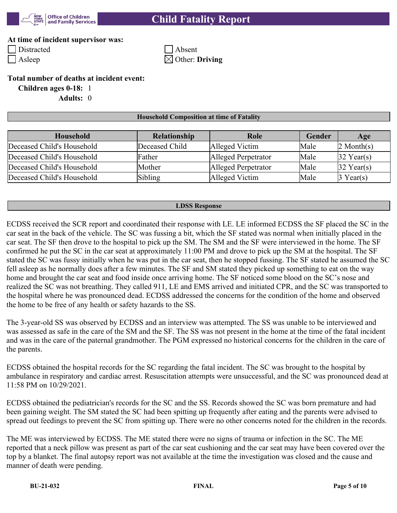

# **Child Fatality Report**

## **At time of incident supervisor was:**

Distracted Absent Asleep  $\boxtimes$  Other: **Driving** 

## **Total number of deaths at incident event:**

**Children ages 0-18:** 1 **Adults:** 0

## **Household Composition at time of Fatality**

| Household                  | Relationship   | Role                | Gender | Age                    |
|----------------------------|----------------|---------------------|--------|------------------------|
| Deceased Child's Household | Deceased Child | Alleged Victim      | Male   | $2$ Month(s)           |
| Deceased Child's Household | Father         | Alleged Perpetrator | Male   | $32$ Year(s)           |
| Deceased Child's Household | Mother         | Alleged Perpetrator | Male   | $ 32 \text{ Year}(s) $ |
| Deceased Child's Household | Sibling        | Alleged Victim      | Male   | $\beta$ Year(s)        |

#### **LDSS Response**

ECDSS received the SCR report and coordinated their response with LE. LE informed ECDSS the SF placed the SC in the car seat in the back of the vehicle. The SC was fussing a bit, which the SF stated was normal when initially placed in the car seat. The SF then drove to the hospital to pick up the SM. The SM and the SF were interviewed in the home. The SF confirmed he put the SC in the car seat at approximately 11:00 PM and drove to pick up the SM at the hospital. The SF stated the SC was fussy initially when he was put in the car seat, then he stopped fussing. The SF stated he assumed the SC fell asleep as he normally does after a few minutes. The SF and SM stated they picked up something to eat on the way home and brought the car seat and food inside once arriving home. The SF noticed some blood on the SC's nose and realized the SC was not breathing. They called 911, LE and EMS arrived and initiated CPR, and the SC was transported to the hospital where he was pronounced dead. ECDSS addressed the concerns for the condition of the home and observed the home to be free of any health or safety hazards to the SS.

The 3-year-old SS was observed by ECDSS and an interview was attempted. The SS was unable to be interviewed and was assessed as safe in the care of the SM and the SF. The SS was not present in the home at the time of the fatal incident and was in the care of the paternal grandmother. The PGM expressed no historical concerns for the children in the care of the parents.

ECDSS obtained the hospital records for the SC regarding the fatal incident. The SC was brought to the hospital by ambulance in respiratory and cardiac arrest. Resuscitation attempts were unsuccessful, and the SC was pronounced dead at 11:58 PM on 10/29/2021.

ECDSS obtained the pediatrician's records for the SC and the SS. Records showed the SC was born premature and had been gaining weight. The SM stated the SC had been spitting up frequently after eating and the parents were advised to spread out feedings to prevent the SC from spitting up. There were no other concerns noted for the children in the records.

The ME was interviewed by ECDSS. The ME stated there were no signs of trauma or infection in the SC. The ME reported that a neck pillow was present as part of the car seat cushioning and the car seat may have been covered over the top by a blanket. The final autopsy report was not available at the time the investigation was closed and the cause and manner of death were pending.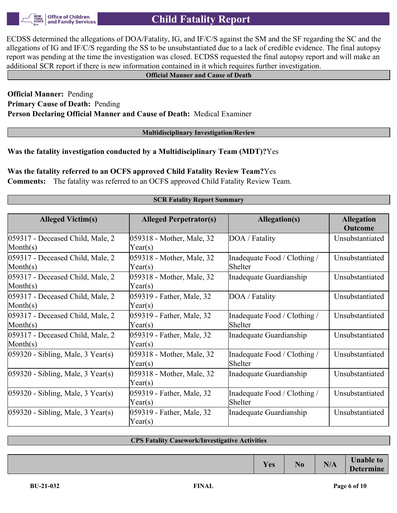**Office of Children** and Family Services

ECDSS determined the allegations of DOA/Fatality, IG, and IF/C/S against the SM and the SF regarding the SC and the allegations of IG and IF/C/S regarding the SS to be unsubstantiated due to a lack of credible evidence. The final autopsy report was pending at the time the investigation was closed. ECDSS requested the final autopsy report and will make an additional SCR report if there is new information contained in it which requires further investigation.

## **Official Manner and Cause of Death**

## **Official Manner:** Pending **Primary Cause of Death:** Pending **Person Declaring Official Manner and Cause of Death:** Medical Examiner

**Multidisciplinary Investigation/Review**

**Was the fatality investigation conducted by a Multidisciplinary Team (MDT)?**Yes

**Was the fatality referred to an OCFS approved Child Fatality Review Team?**Yes **Comments:** The fatality was referred to an OCFS approved Child Fatality Review Team.

## **SCR Fatality Report Summary**

| <b>Alleged Victim(s)</b>                                            | <b>Alleged Perpetrator(s)</b>                 | Allegation(s)                           | <b>Allegation</b><br><b>Outcome</b> |
|---------------------------------------------------------------------|-----------------------------------------------|-----------------------------------------|-------------------------------------|
| 059317 - Deceased Child, Male, 2<br>$\mathbf{Month}(\mathbf{s})$    | 059318 - Mother, Male, 32<br>$\text{Year}(s)$ | DOA / Fatality                          | Unsubstantiated                     |
| 059317 - Deceased Child, Male, 2<br>$\text{Month}(s)$               | 059318 - Mother, Male, 32<br>$\text{Year}(s)$ | Inadequate Food / Clothing /<br>Shelter | Unsubstantiated                     |
| 059317 - Deceased Child, Male, 2<br>$\mathbf{Month}(\mathbf{s})$    | 059318 - Mother, Male, 32<br>$\text{Year}(s)$ | Inadequate Guardianship                 | Unsubstantiated                     |
| 059317 - Deceased Child, Male, 2<br>$\text{Month}(s)$               | 059319 - Father, Male, 32<br>Year(s)          | DOA / Fatality                          | Unsubstantiated                     |
| 059317 - Deceased Child, Male, 2<br>$\text{Month}(s)$               | 059319 - Father, Male, 32<br>Year(s)          | Inadequate Food / Clothing /<br>Shelter | Unsubstantiated                     |
| $ 059317$ - Deceased Child, Male, 2<br>$\mathbf{Month}(\mathbf{s})$ | 059319 - Father, Male, 32<br>Year(s)          | Inadequate Guardianship                 | Unsubstantiated                     |
| $ 059320 - Sibling, Male, 3 Year(s) $                               | 059318 - Mother, Male, 32<br>$\text{Year}(s)$ | Inadequate Food / Clothing /<br>Shelter | Unsubstantiated                     |
| $ 059320 - Sibling, Male, 3 Year(s) $                               | 059318 - Mother, Male, 32<br>$\text{Year}(s)$ | Inadequate Guardianship                 | Unsubstantiated                     |
| $ 059320 - Sibling, Male, 3 Year(s) $                               | 059319 - Father, Male, 32<br>$\text{Year}(s)$ | Inadequate Food / Clothing /<br>Shelter | Unsubstantiated                     |
| $ 059320 - Sibling, Male, 3 Year(s) $                               | 059319 - Father, Male, 32<br>Year(s)          | Inadequate Guardianship                 | Unsubstantiated                     |

## **CPS Fatality Casework/Investigative Activities**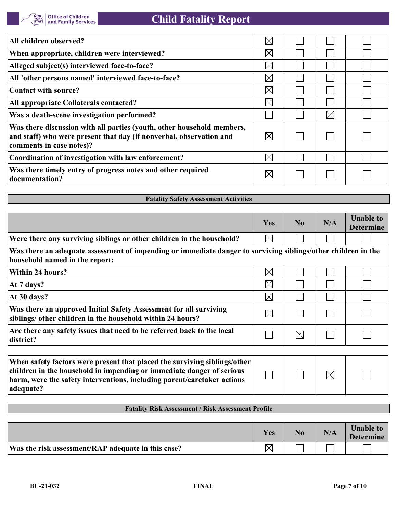| All children observed?                                                                                                                                                    | $\boxtimes$ |             |  |
|---------------------------------------------------------------------------------------------------------------------------------------------------------------------------|-------------|-------------|--|
| When appropriate, children were interviewed?                                                                                                                              | $\times$    |             |  |
| Alleged subject(s) interviewed face-to-face?                                                                                                                              | $\times$    |             |  |
| All 'other persons named' interviewed face-to-face?                                                                                                                       | $\times$    |             |  |
| Contact with source?                                                                                                                                                      | $\times$    |             |  |
| All appropriate Collaterals contacted?                                                                                                                                    | $\times$    |             |  |
| Was a death-scene investigation performed?                                                                                                                                |             | $\boxtimes$ |  |
| Was there discussion with all parties (youth, other household members,<br>and staff) who were present that day (if nonverbal, observation and<br>comments in case notes)? | $\boxtimes$ |             |  |
| Coordination of investigation with law enforcement?                                                                                                                       | $\boxtimes$ |             |  |
| Was there timely entry of progress notes and other required<br>documentation?                                                                                             | $\times$    |             |  |

| <b>Fatality Safety Assessment Activities</b>                                                                                                    |             |             |     |                                      |  |
|-------------------------------------------------------------------------------------------------------------------------------------------------|-------------|-------------|-----|--------------------------------------|--|
|                                                                                                                                                 |             |             |     |                                      |  |
|                                                                                                                                                 | Yes         | No          | N/A | <b>Unable to</b><br><b>Determine</b> |  |
| Were there any surviving siblings or other children in the household?                                                                           | $\boxtimes$ |             |     |                                      |  |
| Was there an adequate assessment of impending or immediate danger to surviving siblings/other children in the<br>household named in the report: |             |             |     |                                      |  |
| <b>Within 24 hours?</b>                                                                                                                         | $\boxtimes$ |             |     |                                      |  |
| At 7 days?                                                                                                                                      | $\boxtimes$ |             |     |                                      |  |
| At 30 days?                                                                                                                                     | $\boxtimes$ |             |     |                                      |  |
| Was there an approved Initial Safety Assessment for all surviving<br>siblings/ other children in the household within 24 hours?                 | $\boxtimes$ |             |     |                                      |  |
| Are there any safety issues that need to be referred back to the local<br>district?                                                             |             | $\boxtimes$ |     |                                      |  |
|                                                                                                                                                 |             |             |     |                                      |  |

| When safety factors were present that placed the surviving siblings/other |  |             |  |
|---------------------------------------------------------------------------|--|-------------|--|
| children in the household in impending or immediate danger of serious     |  | $\boxtimes$ |  |
| harm, were the safety interventions, including parent/caretaker actions   |  |             |  |
| adequate?                                                                 |  |             |  |

## **Fatality Risk Assessment / Risk Assessment Profile**

|                                                    | Yes | N <sub>0</sub> | N/A | <b>Unable to</b><br><b>Determine</b> |
|----------------------------------------------------|-----|----------------|-----|--------------------------------------|
| Was the risk assessment/RAP adequate in this case? |     |                |     |                                      |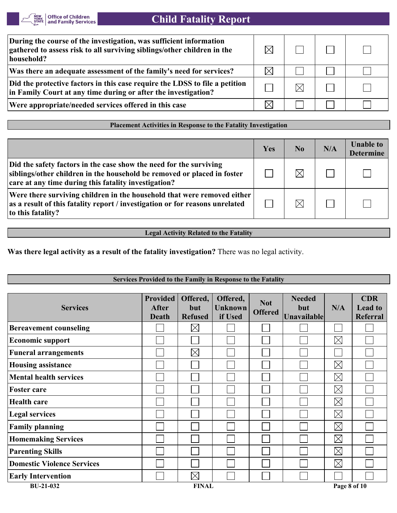

# **Child Fatality Report**

| During the course of the investigation, was sufficient information<br>gathered to assess risk to all surviving siblings/other children in the<br>household? |  |  |
|-------------------------------------------------------------------------------------------------------------------------------------------------------------|--|--|
| Was there an adequate assessment of the family's need for services?                                                                                         |  |  |
| Did the protective factors in this case require the LDSS to file a petition<br>in Family Court at any time during or after the investigation?               |  |  |
| Were appropriate/needed services offered in this case                                                                                                       |  |  |
|                                                                                                                                                             |  |  |

## **Placement Activities in Response to the Fatality Investigation**

|                                                                                                                                                                                                       | Yes | No.      | N/A | <b>Unable to</b><br><b>Determine</b> |
|-------------------------------------------------------------------------------------------------------------------------------------------------------------------------------------------------------|-----|----------|-----|--------------------------------------|
| Did the safety factors in the case show the need for the surviving<br>siblings/other children in the household be removed or placed in foster<br>care at any time during this fatality investigation? |     | $\times$ |     |                                      |
| Were there surviving children in the household that were removed either<br>as a result of this fatality report / investigation or for reasons unrelated<br>to this fatality?                          |     | $\times$ |     |                                      |

**Legal Activity Related to the Fatality**

**Was there legal activity as a result of the fatality investigation?** There was no legal activity.

| Services Provided to the Family in Response to the Fatality |                                                 |                                   |                                       |                              |                                            |              |                                                 |
|-------------------------------------------------------------|-------------------------------------------------|-----------------------------------|---------------------------------------|------------------------------|--------------------------------------------|--------------|-------------------------------------------------|
| <b>Services</b>                                             | <b>Provided</b><br><b>After</b><br><b>Death</b> | Offered,<br>but<br><b>Refused</b> | Offered,<br><b>Unknown</b><br>if Used | <b>Not</b><br><b>Offered</b> | <b>Needed</b><br>but<br><b>Unavailable</b> | N/A          | <b>CDR</b><br><b>Lead to</b><br><b>Referral</b> |
| <b>Bereavement counseling</b>                               |                                                 | $\boxtimes$                       |                                       |                              |                                            |              |                                                 |
| <b>Economic support</b>                                     |                                                 |                                   |                                       |                              |                                            | $\boxtimes$  |                                                 |
| <b>Funeral arrangements</b>                                 |                                                 | $\boxtimes$                       |                                       |                              |                                            |              |                                                 |
| <b>Housing assistance</b>                                   |                                                 |                                   |                                       |                              |                                            | $\boxtimes$  |                                                 |
| <b>Mental health services</b>                               |                                                 |                                   |                                       |                              |                                            | $\boxtimes$  |                                                 |
| <b>Foster care</b>                                          |                                                 |                                   |                                       |                              |                                            | $\boxtimes$  |                                                 |
| <b>Health care</b>                                          |                                                 |                                   |                                       |                              |                                            | $\boxtimes$  |                                                 |
| <b>Legal services</b>                                       |                                                 |                                   |                                       |                              |                                            | $\boxtimes$  |                                                 |
| <b>Family planning</b>                                      |                                                 |                                   |                                       |                              |                                            | $\boxtimes$  |                                                 |
| <b>Homemaking Services</b>                                  |                                                 |                                   |                                       |                              |                                            | $\boxtimes$  |                                                 |
| <b>Parenting Skills</b>                                     |                                                 |                                   |                                       |                              |                                            | $\boxtimes$  |                                                 |
| <b>Domestic Violence Services</b>                           |                                                 |                                   |                                       |                              |                                            | $\boxtimes$  |                                                 |
| <b>Early Intervention</b>                                   |                                                 | $\boxtimes$                       |                                       |                              |                                            |              |                                                 |
| <b>BU-21-032</b>                                            |                                                 | <b>FINAL</b>                      |                                       |                              |                                            | Page 8 of 10 |                                                 |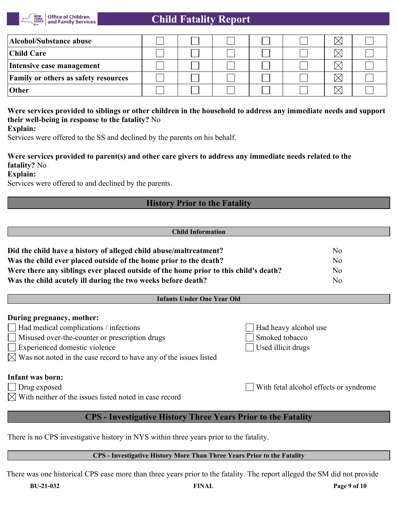

# **Child Fatality Report**

| Alcohol/Substance abuse                     |  |  | $\times$ |  |
|---------------------------------------------|--|--|----------|--|
| <b>Child Care</b>                           |  |  |          |  |
| Intensive case management                   |  |  | $\times$ |  |
| <b>Family or others as safety resources</b> |  |  |          |  |
| Other                                       |  |  |          |  |

# **Were services provided to siblings or other children in the household to address any immediate needs and support their well-being in response to the fatality?** No

**Explain:**

Services were offered to the SS and declined by the parents on his behalf.

## **Were services provided to parent(s) and other care givers to address any immediate needs related to the fatality?** No

## **Explain:**

Services were offered to and declined by the parents.

## **History Prior to the Fatality**

| <b>Child Information</b>                                                             |     |  |
|--------------------------------------------------------------------------------------|-----|--|
|                                                                                      |     |  |
| Did the child have a history of alleged child abuse/maltreatment?                    | No. |  |
| Was the child ever placed outside of the home prior to the death?                    | No  |  |
| Were there any siblings ever placed outside of the home prior to this child's death? | No  |  |
| Was the child acutely ill during the two weeks before death?                         | No  |  |

## **Infants Under One Year Old**

|  | During pregnancy, mother: |  |
|--|---------------------------|--|
|--|---------------------------|--|

- Had medical complications / infections  $\Box$  Had heavy alcohol use
- Misused over-the-counter or prescription drugs Smoked tobacco
- Experienced domestic violence Used illicit drugs
- $\boxtimes$  Was not noted in the case record to have any of the issues listed

## **Infant was born:**

- Drug exposed With fetal alcohol effects or syndrome
- $\boxtimes$  With neither of the issues listed noted in case record

# **CPS - Investigative History Three Years Prior to the Fatality**

There is no CPS investigative history in NYS within three years prior to the fatality.

## **CPS - Investigative History More Than Three Years Prior to the Fatality**

There was one historical CPS case more than three years prior to the fatality. The report alleged the SM did not provide